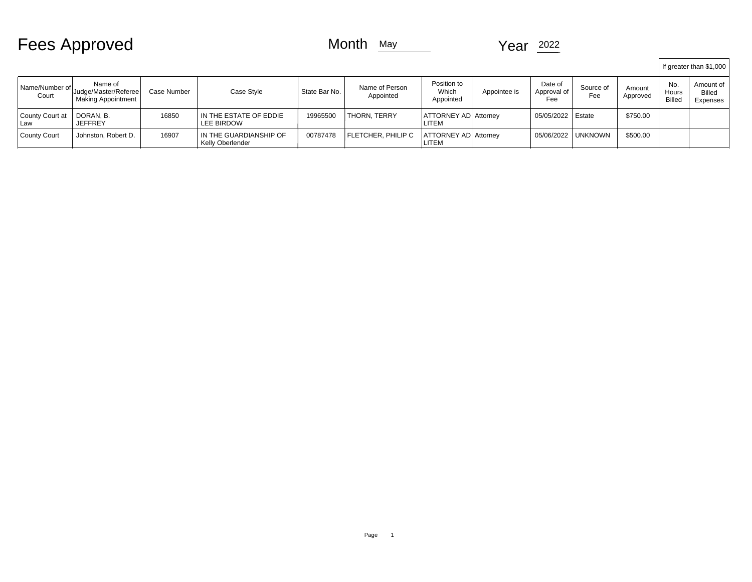| <b>Fees Approved</b> |  |  |  |
|----------------------|--|--|--|
|----------------------|--|--|--|

## Month  $M$ <sub>May</sub> Year  $2022$

|                          |                                                       |             |                                            |               |                             |                                      |              |                               |                  |                    |                               | If greater than \$1,000         |
|--------------------------|-------------------------------------------------------|-------------|--------------------------------------------|---------------|-----------------------------|--------------------------------------|--------------|-------------------------------|------------------|--------------------|-------------------------------|---------------------------------|
| Name/Number of<br>Court  | Name of<br>Judge/Master/Referee<br>Making Appointment | Case Number | Case Style                                 | State Bar No. | Name of Person<br>Appointed | Position to<br>Which<br>Appointed    | Appointee is | Date of<br>Approval of<br>Fee | Source of<br>Fee | Amount<br>Approved | No.<br>Hours<br><b>Billec</b> | Amount of<br>Billed<br>Expenses |
| County Court at<br>l Law | DORAN. B.<br><b>JEFFREY</b>                           | 16850       | IN THE ESTATE OF EDDIE<br>LEE BIRDOW       | 19965500      | <b>THORN, TERRY</b>         | <b>ATTORNEY AD Attorney</b><br>LITEM |              | 05/05/2022   Estate           |                  | \$750.00           |                               |                                 |
| County Court             | Johnston, Robert D.                                   | 16907       | IN THE GUARDIANSHIP OF<br>Kelly Oberlender | 00787478      | FLETCHER. PHILIP C          | <b>ATTORNEY AD Attorney</b><br>LITEM |              | 05/06/2022                    | I UNKNOWN        | \$500.00           |                               |                                 |